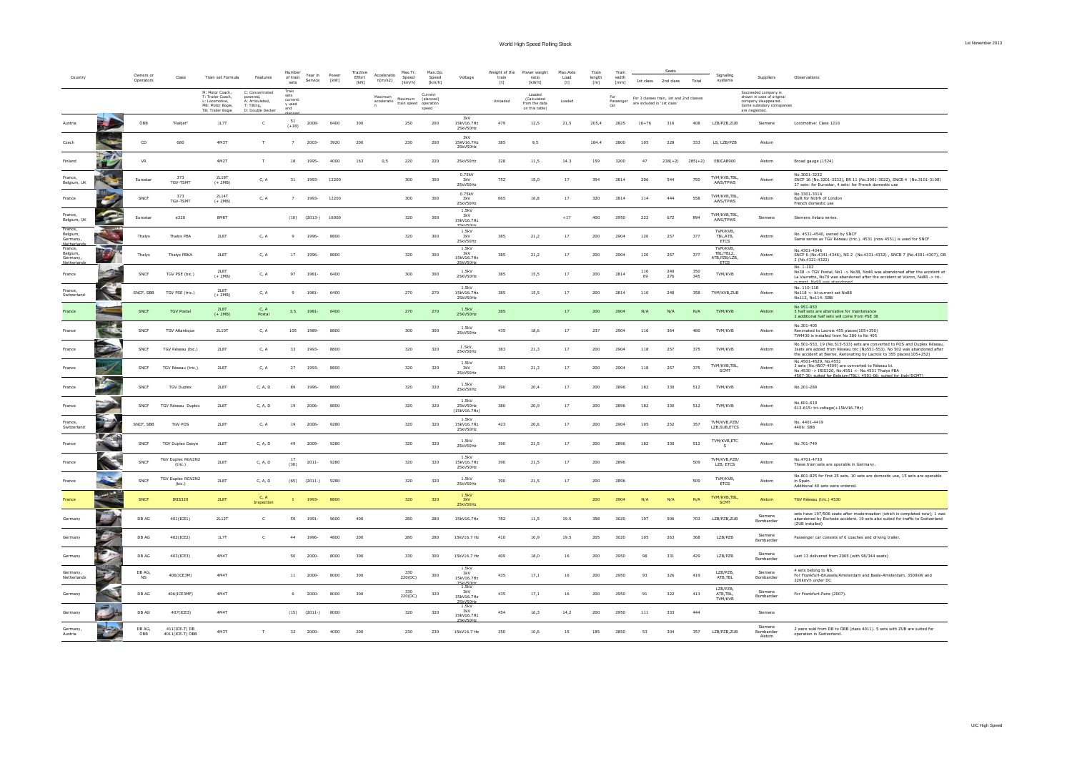|                                            |                     |                        |                                     |                                                                            |                                                                      | Number                                    |                       |               | Tractive       |                        | Max.Tr.         | Max.Op.                                    |                                               | Weight of the | Power weight                                             | Max.Axle    | Train        | Train            |                             | Seats                                    |            |                                      |                                                                                                      |                                                                                                                                                                                                                              |
|--------------------------------------------|---------------------|------------------------|-------------------------------------|----------------------------------------------------------------------------|----------------------------------------------------------------------|-------------------------------------------|-----------------------|---------------|----------------|------------------------|-----------------|--------------------------------------------|-----------------------------------------------|---------------|----------------------------------------------------------|-------------|--------------|------------------|-----------------------------|------------------------------------------|------------|--------------------------------------|------------------------------------------------------------------------------------------------------|------------------------------------------------------------------------------------------------------------------------------------------------------------------------------------------------------------------------------|
|                                            |                     | Owners or<br>Operators | Class                               | Train set Formula                                                          | Features                                                             | of train<br>sets                          | Year in<br>Service    | Power<br>[kW] | Effort<br>[kN] | Acceleratio<br>n[m/s2] | Speed<br>[km/h] | Speed<br>[km/h]                            | Voltage                                       | train<br>[t]  | ratio<br>[kW/t]                                          | Load<br>[t] | ength<br>[m] | width<br>[mm]    | 1st class 2nd class         |                                          | Total      | Signalino<br>systems                 | Suppliers                                                                                            | Observations                                                                                                                                                                                                                 |
|                                            |                     |                        |                                     | M: Motor Coach,<br>T: Trailer Coach,<br>L: Locomotive,<br>MB: Motor Bogie, | C: Concentrated<br>A: Articulated,<br>T: Tilting,<br>D: Double Decke | Train<br>sets<br>current<br>v used<br>and |                       |               |                | acceleratio Maximum    | Maximum         | Current<br>(planned)<br>operation<br>speed |                                               | Unloaded      | Loaded<br>(Calculated<br>from the data<br>on this table) | Loaded      |              | Passenger<br>car | are included in '1st class' | For 3 classes train, 1st and 2nd classes |            |                                      | Succeeded company is<br>shown in case of origin<br>company disappeared.<br>Some subsidary comapanies |                                                                                                                                                                                                                              |
| Austria                                    |                     | ÖBB                    | "Railjet"                           | TB: Trailer Bogie<br>1L7T                                                  | c                                                                    | 51<br>$(+18)$                             | 2008-                 | 6400          | 300            |                        | 250             | 200                                        | 3kV<br>15kV16.7Hz<br>25kV50Hz                 | 479           | 12,5                                                     | 21,5        | 205,4        | 2825             | $16 + 76$                   | 316                                      | 408        | LZB/PZB,ZUB                          | are neglected.<br>Siemens                                                                            | Locomotive: Class 1216                                                                                                                                                                                                       |
| Czech                                      |                     | CD                     | 680                                 | 4M3T                                                                       | T.                                                                   | $\overline{7}$                            | 2003-                 | 3920          | 200            |                        | 230             | 200                                        | 3kV<br>15KV16.7H2<br>25kV50Hz                 | 385           | 9,5                                                      |             | 184.4        | 2800             | 105                         | 228                                      | 333        | LS, LZB/PZB                          | Alstom                                                                                               |                                                                                                                                                                                                                              |
| Finland                                    |                     | VR                     |                                     | 4M2T                                                                       | T.                                                                   | 18                                        | 1995-                 | 4000          | 163            | 0,5                    | 220             | 220                                        | 25kV50Hz                                      | 328           | 11,5                                                     | 14.3        | 159          | 3200             | 47                          | $238(+2)$                                |            | 285(+2) EBICAB900                    | Alstom                                                                                               | Broad gauge (1524)                                                                                                                                                                                                           |
| France,<br>Belgium, UK                     |                     | Eurostar               | TGV-TSMT                            | 2L187<br>$(+ 2MB)$                                                         | C, A                                                                 | 31                                        | 1993-                 | 12200         |                |                        | 300             | 300                                        | 0.75kV<br>3kV<br>25kV50Hz                     | 752           | 15,0                                                     | 17          | 394          | 2814             | 206                         | 544                                      | 750        | TVM/KVB, TBL<br>AWS/TPWS             | Alstom                                                                                               | No.3001-3232<br>SNCF 16 (No.3201-3232), BR 11 (No.3001-3022), SNCB 4 (No.3101-3108)<br>27 sets: for Eurostar, 4 sets: for French domestic use                                                                                |
| France                                     |                     | ${\tt SNCF}$           | 373<br>TGV-TSMT                     | 2L14T<br>$(+ 2MB)$                                                         | C, A                                                                 | $\overline{7}$                            | 1993-                 | 12200         |                |                        | 300             | 300                                        | 0.75kV<br>25kV50Hz                            | 665           | 16,8                                                     | $17\,$      | 320          | 2814             | 114                         | 444                                      | 558        | <b>TVM/KVR TRI</b><br>AWS/TPWS       | Alstom                                                                                               | No.3301-3314<br>Built for Notrh of London<br>French domestic use                                                                                                                                                             |
| France.<br>Belgium, UK                     | P                   | Eurosta                | e320                                | 8M8T                                                                       |                                                                      | (10)                                      | $(2013-)$             | 16000         |                |                        | 320             | 300                                        | 1.5kV<br>3kV<br>15kV16.7Hz                    |               |                                                          | ${<}17$     | 400          | 2950             | 222                         | 672                                      | 894        | TVM/KVB.TBL<br>AWS/TPWS              | Siemens                                                                                              | Siemens Velaro series.                                                                                                                                                                                                       |
| rance,<br>Belgium,<br>Germany,             |                     | Thalys                 | Thalys PBA                          | 2L8T                                                                       | C, A                                                                 | 9                                         | 1996                  | 8800          |                |                        | 320             | 300                                        | 1.5kV<br>3kV<br>25kV50Hz                      | 385           | 21,2                                                     | $17\,$      | 200          | 2904             | 120                         | 257                                      | 377        | TVM/KVB<br>TBL, ATB<br><b>ETCS</b>   | Alstom                                                                                               | No. 4531-4540, owned by SNCF<br>Same series as TGV Réseau (tric.). 4531 (now 4551) is used for SNCF                                                                                                                          |
| Netherb<br>France,<br>Belgium,<br>Germany, |                     | Thalys                 | Thalys PBKA                         | 2L8T                                                                       | C, A                                                                 | 17                                        | 1996-                 | 8800          |                |                        | 320             | 300                                        | 1.5kV<br>3kV<br>15kV16.7Hz                    | 385           | 21,2                                                     | 17          | 200          | 2904             | 120                         | 257                                      | 377        | TVM/KVB<br>TBL/TBL2<br>ATB, PZB/LZB, | Alstom                                                                                               | No.4301-4346<br>SNCF 6 (No.4341-4346), NS 2 (No.4331-4332), SNCB 7 (No.4301-4307), DB<br>2 (No.4321-4322)                                                                                                                    |
| <b>Matherlan</b><br>France                 |                     | SNCF                   | TGV PSE (bic.)                      | <b>2L8T</b><br>$(+ 2MB)$                                                   | C, A                                                                 | 97                                        | 1981-                 | 6400          |                |                        | 300             | 300                                        | 1.5kV<br>25KV50Hz                             | 385           | 15,5                                                     | 17          | 200          | 2814             | 110<br>69                   | 240<br>276                               | 350<br>345 | <b>ETCS</b><br>TVM/KVB               | Alstom                                                                                               | No. 1-102<br>No38 -> TGV Postal, No1 -> No38, No46 was abandoned after the accident at<br>La Vavrette, No70 was abandoned after the accident at Voiron, No88 -> tri-                                                         |
| France,<br>Switzerland                     |                     | SNCF, SBB              | TGV PSE (tric.)                     | 2L8T<br>$(+ 2MB)$                                                          | C, A                                                                 |                                           | 1981-                 | 6400          |                |                        | 270             | 270                                        | 1.5kV<br>15kV16.7Hz<br>25kV50Hz               | 385           | 15,5                                                     | $17\,$      | 200          | 2814             | 110                         | 248                                      | 358        | TVM/KVB,ZUB                          | Alstom                                                                                               | current. No99 was abandoned<br>No. 110-118<br>No118 <- bi-current set No88<br>No112, No114: SBB                                                                                                                              |
| France                                     |                     | SNCF                   | <b>TGV Postal</b>                   | <b>21 RT</b><br>$(+ 2MB)$                                                  | C.A<br>Postal                                                        | 3.5                                       | 1981-                 | 6400          |                |                        | 270             | 270                                        | 1.5kV<br>25KV50Hz                             | 385           |                                                          | $17\,$      | 200          | 2904             | N/f                         | N/A                                      | N/A        | TVM/KVB                              | Alstom                                                                                               | No.951-953<br>5 half sets are alternative for maintenance<br>2 additional half sets will come from PSE 38                                                                                                                    |
| France                                     | $\frac{d}{d}$       | SNCF                   | <b>TGV Atlantique</b>               | 2L10T                                                                      | C, A                                                                 | 105                                       | 1989-                 | 8800          |                |                        | 300             | 300                                        | 1.5kV<br>25kV50Hz                             | 435           | 18,6                                                     | $17\,$      | 237          | 2904             | 116                         | 364                                      | 480        | TVM/KVB                              | Alstom                                                                                               | No.301-405<br>Renovated to Lacroix 455 places(105+350)<br>TVM430 is installed from No 386 to No 405                                                                                                                          |
| France                                     | ٦.                  | SNCF                   | TGV Réseau (bic.)                   | 2L8T                                                                       | C, A                                                                 | 33                                        | 1993-                 | 8800          |                |                        | 320             | 320                                        | 1.5kV<br>25kV50Hz                             | 383           | 21,3                                                     | 17          | 200          | 2904             | 118                         | 257                                      | 375        | TVM/KVB                              | Alstom                                                                                               | No.501-553, 19 (No.515-533) sets are converted to POS and Duplex Réseau,<br>3sets are added from Réseau tric (No551-553). No 502 was abandoned after<br>the accident at Bierne. Renovating by Lacroix to 355 places(105+252) |
| France                                     |                     | SNCF                   | TGV Réseau (tric.)                  | 2L8T                                                                       | C, A                                                                 | 27                                        | 1993-                 | 8800          |                |                        | 320             | 320                                        | 1.5kV<br>3kV<br>25kV50Hz                      | 383           | 21,3                                                     | 17          | 200          | 2904             | 118                         | 257                                      | 375        | TVM/KVB.TBL<br>SCMT                  | Alstom                                                                                               | No.4501-4529, No.4551<br>3 sets (No.4507-4509) are converted to Réseau bi.<br>No.4530 -> IRIS320, No.4551 <- No.4531 Thalys PBA                                                                                              |
| France                                     | <b>The Contract</b> | SNCF                   | <b>TGV Duplex</b>                   | 2L8T                                                                       | C. A. D                                                              | 89                                        | 1996-                 | 8800          |                |                        | 320             | 320                                        | 1.5kV<br>25kV50Hz                             | 390           | 20.4                                                     | 17          | 200          | 2896             | 182                         | 330                                      | 512        | TVM/KVB                              | Alstom                                                                                               | 4507-30; suited for Belgium(TBL), 4501-06; suited for Italy(SCMT).<br>No.201-289                                                                                                                                             |
| France                                     |                     | SNCF                   | <b>TGV Réseau Duplex</b>            | <b>2L8T</b>                                                                | C, A, D                                                              | 19                                        | 2006-                 | 8800          |                |                        | 320             | 320                                        | 1.5kV<br>25kV50Hz<br>(15kV16.7Hz)             | 380           | 20,9                                                     | $17\,$      | 200          | 2896             | 182                         | 330                                      | 512        | TVM/KVB                              | Alstom                                                                                               | No.601-619<br>613-615: tri-voltage(+15kV16.7Hz)                                                                                                                                                                              |
| Switzerland                                | L.                  | SNCF, SBB              | TGV POS                             | <b>2L8T</b>                                                                | C, A                                                                 | 19                                        | 2006-                 | 9280          |                |                        | 320             | 320                                        | 1.5kV<br>15kV16.7Hz<br>25kV50Hz               | 423           | 20,6                                                     | $17\,$      | 200          | 2904             | 105                         | 252                                      | 357        | TVM/KVB.PZB<br>LZB.SUB.ETCS          | Alstom                                                                                               | No. 4401-4419<br>4406: SBB                                                                                                                                                                                                   |
| France                                     | <b>LASS</b>         | SNCF                   | <b>TGV Duplex Dasye</b>             | <b>2L8T</b>                                                                | C, A, D                                                              | 49                                        | $2009 -$              | 9280          |                |                        | 320             | 320                                        | 1.5kV<br>25kV50Hz                             | 390           | 21,5                                                     | $17\,$      | 200          | 2896             | 182                         | 330                                      | 512        | TVM/KVB,ETC<br>s                     | Alstom                                                                                               | No.701-749                                                                                                                                                                                                                   |
| France                                     |                     | SNCF                   | <b>TGV Duplex RGV2N2</b><br>(tric.) | <b>2L8T</b>                                                                | C, A, D                                                              | 17<br>(30)                                | $2011 -$              | 9280          |                |                        | 320             | 320                                        | 1.5kV<br>15kV16.7Hz<br>25kV50Hz               | 390           | 21,5                                                     | $17\,$      | 200          | 2896             |                             |                                          | 509        | TVM/KVB.PZB/<br>LZB, ETCS            | Alstom                                                                                               | No.4701-4730<br>These train sets are operable in Germany.                                                                                                                                                                    |
| France                                     |                     | SNCF                   | <b>TGV Duplex RGV2N2</b><br>(bic.)  | 2L8T                                                                       | C, A, D                                                              | (65)                                      | $(2011-)$             | 9280          |                |                        | 320             | 320                                        | 1.5kV<br>25kV50Hz                             | 390           | 21,5                                                     | 17          | 200          | 2896             |                             |                                          | 509        | TVM/KVB.<br>ETCS                     | Alstom                                                                                               | No.801-825 for first 25 sets. 10 sets are domestic use, 15 sets are operable<br>in Snain.<br>Additional 40 sets were ordered.                                                                                                |
| France                                     | <b>BOAT</b><br>₩    | SNCF                   | <b>IRIS320</b>                      | 2LBT                                                                       | C, A<br>Inspection                                                   |                                           | 1993-                 | 8800          |                |                        | 320             | 320                                        | 1.5kV<br>3kV<br>25kV50Hz                      |               |                                                          |             | 200          | 2904             | N/I                         | N/A                                      | N/A        | TVM/KVB, TBL<br>SCMT                 | Alstom                                                                                               | TGV Réseau (tric.) 4530                                                                                                                                                                                                      |
| Germany                                    |                     | DB AG                  | 401(ICE1)                           | 2L12T                                                                      | $\mathsf{C}$                                                         | 59                                        | 1991-                 | 9600          | 400            |                        | 280             | 280                                        | 15kV16.7Hz                                    | 782           | 11.5                                                     | 19.5        | 358          | 3020             | 197                         | 506                                      | 703        | LZB/PZB.ZUB                          | Siemens<br>Bombardier                                                                                | sets have 197/506 seats after modernisation (which is completed now): 1 was<br>abandoned by Eschede accident, 19 sets also suited for traffic to Switzerland<br>(ZUB installed)                                              |
| Germany                                    |                     | DB AG                  | 402(ICE2)                           | <b>1L7T</b>                                                                | $\mathsf{C}$                                                         | 44                                        | 1996-                 | 4800          | 200            |                        | 280             | 280                                        | 15kV16.7 Hz                                   | 410           | 10,9                                                     | 19.5        | 205          | 3020             | 105                         | 263                                      | 368        | LZB/PZB                              | Siemen<br>Bombardier                                                                                 | Passenger car consists of 6 coaches and driving trailer.                                                                                                                                                                     |
| Germany                                    |                     | DB AG                  | 403(ICE3)                           | 4M4T                                                                       |                                                                      | 50                                        | 2000-                 | 8000          | 300            |                        | 330             | 300                                        | 15kV16.7 Hz                                   | 409           | 18,0                                                     | $16\,$      | 200          | 2950             | 98                          | 331                                      | 429        | LZB/PZB                              | Siemens<br>Bombardier                                                                                | Last 13 delivered from 2005 (with 98/344 seats)                                                                                                                                                                              |
| Germany<br>Netherlands                     |                     | DB AG.<br><b>NS</b>    | 406(ICE3M)                          | 4M4T                                                                       |                                                                      |                                           | $11\qquad 2000$ -     | 8000          | 300            |                        | 330<br>220(DC)  | 300                                        | 1.5kV<br><b>3kV</b><br>15kV16.7Hz             | 435           | 17,1                                                     | $16\,$      | 200          | 2950             | 93                          | 326                                      | 419        | 17B/P7B<br>ATB,TBL                   | Siemens<br>Bombardier                                                                                | 4 sets belong to NS.<br>For Frankfurt-Brussels/Amsterdam and Basle-Amsterdam. 3500kW and<br>220km/h under DC                                                                                                                 |
| Germany                                    |                     | DB AG                  | 406(ICE3MF)                         | 4M4T                                                                       |                                                                      | 6                                         | 2000-                 | 8000          | 300            |                        | 330<br>220(DC)  | 320                                        | <b>DELVIENE</b><br>1.5kV<br>3kV<br>15kV16.7Hz | 435           | 17,1                                                     | 16          | 200          | 2950             | 91                          | 322                                      | 413        | LZB/PZB,<br>ATR TRI<br>TVM/KVB       | Siemens<br>Bombardier                                                                                | For Frankfurt-Paris (2007).                                                                                                                                                                                                  |
| Germany                                    |                     | DB AG                  | 407/1CE3)                           | 4M4T                                                                       |                                                                      |                                           | $(15)$ $(2011-)$ 8000 |               |                |                        | 320             | 320                                        | <b>JELVIENH</b><br>1.5kV<br>3kV<br>15kV16.7Hz | 454           | 16,3                                                     | 14,2        | 200          | 2950             | 111                         | 333                                      | 444        |                                      | Siemens                                                                                              |                                                                                                                                                                                                                              |
| Germany.<br>Austria                        |                     | DB AG.<br>ÖBB          | 411(ICE-T) DB<br>4011(ICE-T) ÖBB    | 4M3T                                                                       |                                                                      | 32                                        | 2000-                 | 4000          | 200            |                        | 230             | 230                                        | <b>ISLA/SOH</b><br>15kV16.7 Hz                | 350           | 10.6                                                     | 15          | 185          | 2850             | 53                          | 304                                      | 357        | LZB/PZB,ZUB                          | Siemens<br>Bombardier<br>Alstom                                                                      | 2 were sold from DB to ÖBB (class 4011). 5 sets with ZUB are suited for<br>operation in Switzerland.                                                                                                                         |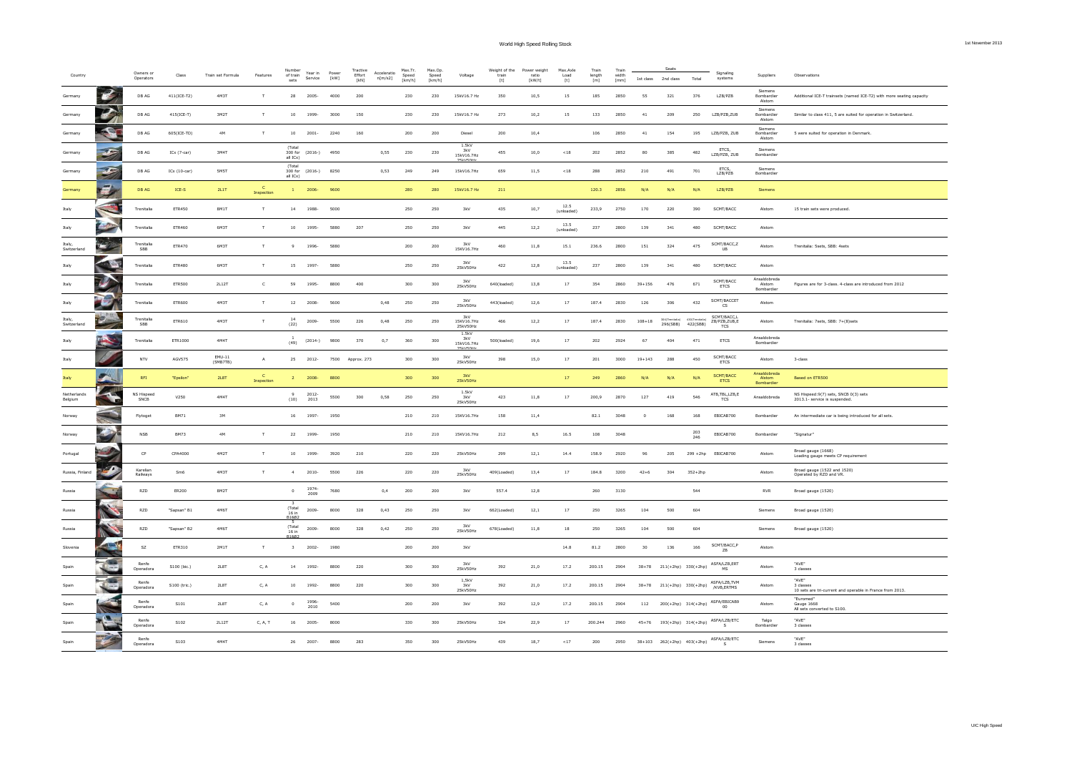World High Speed Rolling Stock 1st November 2013

|  | 1st November 2013 |  |  |
|--|-------------------|--|--|
|  |                   |  |  |

| Country                |                          | Owners or<br>Operators     | Class           | Train set Formula  | Features                  | Number<br>of train<br>sets    | Year in<br>Service | Power<br>$[{\sf kW}]$ | Tractive<br>Effort<br>[kN] | Acceleratio<br>n[m/s2] | Max.Tr.<br>Speed<br>[km/h] | Max.Op<br>Speed<br>[km/h] | Voltage                                    | Weight of the<br>train<br>[t] | Power weight<br>ratio<br><b>FkW/t1</b> | Max.Axle<br>Load<br>[t] | Train<br>length<br>[m] | Train<br>width<br>[mm] | 1st class      | 2nd class                   | Total                       | Signaling<br>systems                                           | Supplier:                            | Observation:                                                          |
|------------------------|--------------------------|----------------------------|-----------------|--------------------|---------------------------|-------------------------------|--------------------|-----------------------|----------------------------|------------------------|----------------------------|---------------------------|--------------------------------------------|-------------------------------|----------------------------------------|-------------------------|------------------------|------------------------|----------------|-----------------------------|-----------------------------|----------------------------------------------------------------|--------------------------------------|-----------------------------------------------------------------------|
| Germany                | $\epsilon$               | $\mathsf{DB}\,\mathsf{AG}$ | 411(ICE-T2)     | 4M3T               | $\top$                    | 28                            | 2005-              | 4000                  | 200                        |                        | 230                        | 230                       | 15kV16.7 Hz                                | 350                           | 10,5                                   | 15                      | 185                    | 2850                   | 55             | 321                         | 376                         | LZB/PZB                                                        | Siemens<br>Bombardie<br>Alstom       | Additional ICE-T trainsets (named ICE-T2) with more seating capacity  |
| Germany                | B                        | DB AG                      | 415(ICE-T)      | 3M2T               | T                         | $10\,$                        | 1999-              | 3000                  | 150                        |                        | 230                        | 230                       | 15kV16.7 Hz                                | 273                           | 10,2                                   | 15                      | $133\,$                | 2850                   | $41\,$         | 209                         | 250                         | LZB/PZB,ZUB                                                    | Siemens<br>Bombardier<br>Alstom      | Similar to class 411, 5 are suited for operation in Switzerland.      |
| Germany                | P                        | DB AG                      | 605(ICE-TD)     | 4M                 | т                         | 10                            | $2001 -$           | 2240                  | 160                        |                        | 200                        | 200                       | Diesel                                     | 200                           | 10,4                                   |                         | 106                    | 2850                   | $41\,$         | 154                         | 195                         | LZB/PZB, ZUB                                                   | Siemens<br>Bombardier<br>Alstom      | 5 were suited for operation in Denmark.                               |
| Germany                | $\mathcal{F}$            | DB AG                      | ICx $(7-car)$   | 3M4T               |                           | (Total<br>300 for<br>all ICx) | $(2016-)$          | 4950                  |                            | 0,55                   | 230                        | 230                       | 1.5kV<br>3kV<br>15kV16.7Hz<br><b>LV50H</b> | 455                           | 10,0                                   | $<18$                   | 202                    | 2852                   | 80             | 385                         | 482                         | ETCS,<br>LZB/PZB, ZUB                                          | Siemens<br>Bombardier                |                                                                       |
| Germany                | $\mathcal{F}$            | $\mathsf{DB}\,\mathsf{AG}$ | IC $x(10-car)$  | 5M5T               |                           | (Total<br>all ICx)            | 300 for (2016-)    | 8250                  |                            | 0,53                   | 249                        | 249                       | 15kV16.7Hz                                 | 659                           | 11,5                                   | $<\!18$                 | 288                    | 2852                   | 210            | 491                         | 701                         | FTCS.<br>LZB/PZB                                               | Siemens<br>Bombardier                |                                                                       |
| Germany                | 乡                        | <b>DB AG</b>               | $ICE-S$         | 2L1T               | Inspection                |                               | 2006               | 9600                  |                            |                        | 280                        | 280                       | 15kV16.7 Hz                                | 211                           |                                        |                         | 120.3                  | 2856                   | N/A            | N/A                         | N/A                         | LZB/PZB                                                        | Siemens                              |                                                                       |
| Italy                  | $\overline{\phantom{a}}$ | Trenitalia                 | ETR450          | 8M1T               | $\top$                    | 14                            | 1988-              | 5000                  |                            |                        | 250                        | 250                       | 3kV                                        | 435                           | 10,7                                   | 12.5<br>(unloaded)      | 233,9                  | 2750                   | 170            | 220                         | 390                         | SCMT/BACC                                                      | Alstom                               | 15 train sets were produced.                                          |
| Italy                  |                          | Trenitalia                 | ETR460          | 6M3T               | $\top$                    | 10                            | 1995-              | 5880                  | 207                        |                        | 250                        | 250                       | 3kV                                        | 445                           | 12,2                                   | 13.5<br>(unloaded)      | 237                    | 2800                   | 139            | 341                         | 480                         | SCMT/BACC                                                      | Alstom                               |                                                                       |
| Italy<br>Switzerland   |                          | Trenitalia<br>SBB          | ETR470          | 6M3T               | $\top$                    | 9                             | 1996-              | 5880                  |                            |                        | 200                        | 200                       | 3kV<br>15KV16.7Hz                          | 460                           | 11,8                                   | 15.1                    | 236.6                  | 2800                   | 151            | 324                         | 475                         | SCMT/BACC,Z<br>UB                                              | Alstom                               | Trenitalia: 5sets, SBB: 4sets                                         |
| Italy                  |                          | Trenitalia                 | ETR480          | 6M3T               | T                         | 15                            | 1997-              | 5880                  |                            |                        | 250                        | 250                       | 3kV<br>25kV50Hz                            | 422                           | 12,8                                   | 13.5<br>(unloaded)      | 237                    | 2800                   | 139            | 341                         | 480                         | SCMT/BACC                                                      | Alstom                               |                                                                       |
| Italy                  | Ø                        | Trenitalia                 | <b>ETR500</b>   | 2L12T              | $\mathsf{C}$              | 59                            | 1995-              | 8800                  | 400                        |                        | 300                        | 300                       | 3kV<br>25kV50Hz                            | 640(loaded)                   | 13,8                                   | $17\,$                  | 354                    | 2860                   | $39 + 156$     | 476                         | 671                         | SCMT/BACC<br><b>ETCS</b>                                       | Ansaldobreda<br>Alstom<br>Bombardier | Figures are for 3-class. 4-class are introduced from 2012             |
| Italy                  |                          | Trenitalia                 | <b>ETR600</b>   | 4M3T               | T                         | 12                            | 2008-              | 5600                  |                            | 0,48                   | 250                        | 250                       | 3kV<br>25kV50Hz                            | 443(loaded)                   | 12,6                                   | 17                      | 187.4                  | 2830                   | 126            | 306                         | 432                         | SCMT/BACCET<br>$\overline{\text{cs}}$                          | Alstom                               |                                                                       |
| Italy<br>Switzerland   |                          | Trenitalia<br>SBB          | ETR610          | 4M3T               | T                         | (22)                          | 2009-              | 5500                  | 226                        | 0,48                   | 250                        | 250                       | 3kV<br>15KV16.7Hz<br>25kV50Hz              | 466                           | 12,2                                   | 17                      | 187.4                  | 2830                   | $108 + 18$     | 304(Trenitalia)<br>296(SBB) | 430 (Trenitalia<br>422(SBB) | SCMT/BACC,L<br>ZB/PZB,ZUB,E<br>TCS                             | Alstom                               | Trenitalia: 7sets, SBB: 7+(8)sets                                     |
| Italy                  |                          | Trenitalia                 | ETR1000         | 4M4T               |                           | (49)                          | $(2014-)$          | 9800                  | 370                        | 0,7                    | 360                        | 300                       | 1.5kV<br>3kV<br>15kV16.7Hz                 | 500(loaded)                   | 19,6                                   | $17\,$                  | 202                    | 2924                   | 67             | 404                         | 471                         | ETCS                                                           | Ansaldobreda<br>Bombardier           |                                                                       |
| Italy                  |                          | <b>NTV</b>                 | <b>AGV575</b>   | EMU-11<br>(5MB7TB) | $\mathsf{A}$              | 25                            | $2012 -$           | 7500                  | Approx. 273                |                        | 300                        | 300                       | 3kV<br>25kV50Hz                            | 398                           | 15,0                                   | 17                      | 201                    | 3000                   | $19 + 143$     | 288                         | 450                         | SCMT/BACC<br><b>ETCS</b>                                       | Alstom                               | 3-class                                                               |
| Italy                  | $\blacktriangleright$    | RFI                        | "Epsilon"       | <b>2L8T</b>        | Inspection                | $\overline{2}$                | 2008-              | 8800                  |                            |                        | 300                        | 300                       | 3kV<br>25kV50Hz                            |                               |                                        | 17                      | 249                    | 2860                   | N/A            | N/A                         | N/A                         | <b>SCMT/BACC</b><br><b>ETCS</b>                                | Ansaldobreda<br>Alstom<br>Bombardie  | Based on ETR500                                                       |
| Netherlands<br>Belgium | S                        | NS Hispeed<br>SNCB         | V250            | 4M4T               |                           | (10)                          | 2012-<br>2013      | 5500                  | 300                        | 0,58                   | 250                        | 250                       | 1.5kV<br>3kV<br>25kV50Hz                   | 423                           | 11,8                                   | 17                      | 200,9                  | 2870                   | 127            | 419                         | 546                         | ATB, TBL, LZB, E<br>TCS                                        | Ansaldobreda                         | NS Hispeed:9(7) sets, SNCB 0(3) sets<br>2013.1- service is suspended. |
| Norway                 |                          | Flytoget                   | <b>BM71</b>     | $3M$               |                           | $16\,$                        | 1997-              | 1950                  |                            |                        | 210                        | $_{\rm 210}$              | 15KV16.7Hz                                 | 158                           | 11,4                                   |                         | 82.1                   | 3048                   | $\overline{0}$ | 168                         | 168                         | EBICAB700                                                      | Bombardier                           | An intermediate car is being introduced for all sets.                 |
| Norway                 | $\mathbf{C}$             | <b>NSB</b>                 | <b>BM73</b>     | 4M                 | T                         | 22                            | 1999-              | 1950                  |                            |                        | 210                        | 210                       | 15KV16.7Hz                                 | 212                           | 8,5                                    | 16.5                    | 108                    | 3048                   |                |                             | 203<br>246                  | EBICAB700                                                      | Bombardier                           | "Signatur"                                                            |
| Portugal               |                          | $\mathsf{CP}$              | CPA4000         | 4M2T               | T                         | 10                            | 1999-              | 3920                  | 210                        |                        | 220                        | 220                       | 25kV50Hz                                   | 299                           | 12,1                                   | 14.4                    | 158.9                  | 2920                   | 96             | 205                         |                             | 299 +2hp EBICAB700                                             | Alstom                               | Broad gauge (1668)<br>Loading gauge meets CP requirement              |
| Russia, Finland        | $\mathcal{L}$            | Karelian<br>Railways       | Sm <sub>6</sub> | 4M3T               | т                         | $\ddot{a}$                    | $2010 -$           | 5500                  | 226                        |                        | 220                        | 220                       | 3kV<br>25kV50Hz                            | 409(Loaded)                   | 13,4                                   | 17                      | 184.8                  | 3200                   | $42 + 6$       | 304                         | $352+2hp$                   |                                                                | Alston                               | Broad gauge (1522 and 1520)<br>Operated by RZD and VR.                |
| Russia                 |                          | RZD                        | <b>ER200</b>    | 8M2T               |                           | $\circ$                       | 1974-<br>2009      | 7680                  |                            | 0,4                    | 200                        | 200                       | 3kV                                        | 557.4                         | 12,8                                   |                         | 260                    | 3130                   |                |                             | 544                         |                                                                | <b>RVR</b>                           | Broad gauge (1520)                                                    |
| Russia                 |                          | RZD                        | "Sapsan" B1     | 4M6T               |                           | (Total<br>16 in               | 2009-              | 8000                  | 328                        | 0,43                   | 250                        | 250                       | 3kV                                        | 662(Loaded)                   | 12,1                                   | $17\,$                  | 250                    | 3265                   | 104            | 500                         | 604                         |                                                                | Siemens                              | Broad gauge (1520)                                                    |
| Russia                 |                          | RZD                        | "Sapsan" B2     | 4M6T               |                           | R18R<br>(Total<br>16 in       | 2009-              | 8000                  | 328                        | 0,42                   | 250                        | 250                       | 3kV<br>25kV50Hz                            | 678(Loaded)                   | 11,8                                   | $18\,$                  | 250                    | 3265                   | 104            | 500                         | 604                         |                                                                | Siemens                              | Broad gauge (1520)                                                    |
| Slovenia               | A                        | <b>SZ</b>                  | ETR310          | $2$ M1T            | T                         | $\overline{\mathbf{3}}$       | 2002-              | 1980                  |                            |                        | 200                        | 200                       | 3kV                                        |                               |                                        | 14.8                    | 81.2                   | 2800                   | 30             | 136                         | 166                         | SCMT/BACC, P<br>ZB                                             | Alstom                               |                                                                       |
| Spain                  | 编<br><b>No.</b>          | Renfe<br>Operadora         | S100 (bic.)     | 2L8T               | C, A                      | 14                            | 1992-              | 8800                  | 220                        |                        | 300                        | 300                       | 25kV50Hz                                   | 392                           | 21,0                                   | 17.2                    | 200.15                 | 2904                   | $38 + 78$      |                             | 211(+2hp) 330(+2hp)         | ASFA/LZB,ERT<br>MS                                             | Alstom                               | "AVE<br>3 classes                                                     |
| Spain                  |                          | Renfe<br>Operadora         | S100 (tric.)    | <b>2L8T</b>        | $\mathsf{C},\,\mathsf{A}$ | $10\,$                        | 1992-              | 8800                  | 220                        |                        | $300\,$                    | 300                       | 1.5kV<br>3kV<br>25kV50Hz                   | 392                           | 21,0                                   | 17.2                    | 200.15                 | 2904                   |                |                             | 38+78 211(+2hp) 330(+2hp)   | ASFA/LZB.TVM<br>/KVB, ERTMS                                    | Alstom                               | "AVE"<br>10 sets are tri-current and operable in France from 2013.    |
| Spain                  |                          | Renfe<br>Operadora         | S101            | <b>2L8T</b>        | C, A                      | $^{\circ}$                    | 1996<br>2010       | 5400                  |                            |                        | 200                        | 200                       | 3kV                                        | 392                           | 12,9                                   | 17.2                    | 200.15                 | 2904                   | 112            |                             | 200(+2hp) 314(+2hp)         | ASFA/EBICAB9<br>00                                             | Alstom                               | "Euromed"<br>Gauge 1668<br>All sets converted to S100.                |
| Spain                  | $\mathbf{a}$             | Renfe<br>Operadora         | S102            | 2L12T              | C, A, T                   | 16                            | 2005-              | 8000                  |                            |                        | 330                        | 300                       | 25kV50H2                                   | 324                           | 22,9                                   | $17\,$                  | 200.244                | 2960                   | $45 + 76$      |                             | 193(+2hp) 314(+2hp)         | ASFA/LZB/ETC<br>s                                              | Talgo<br>Bombardier                  | "AVE"<br>3 classes                                                    |
| Spain                  |                          | Renfe<br>Operadora         | S103            | 4M4T               |                           | 26                            | 2007-              | 8800                  | 283                        |                        | 350                        | 300                       | 25kV50Hz                                   | 439                           | 18,7                                   | $<17\,$                 | 200                    | 2950                   |                |                             |                             | 38+103 $262(+2hp)$ $403(+2hp)$ $\frac{\text{ASFA/LZB/ETC}}{c}$ | Siemens                              | "AVF"<br>3 classes                                                    |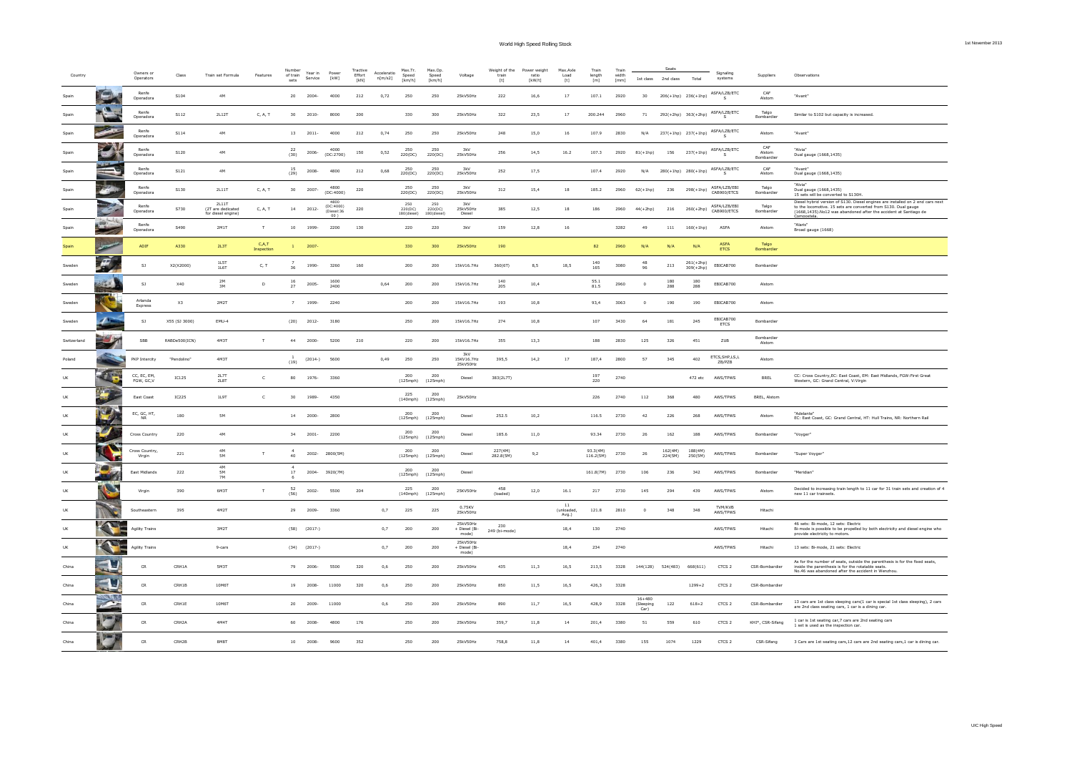| Country     |               | Owners or<br>Operators    | Class         | Train set Formula                               | Features              | of train<br>$_{\rm sets}$ | Year in<br>Service | Powe<br>[kW]                   | Tractive<br>Effort<br>[KN] | Acceleratio<br>n[m/s2] | Max.Tr.<br>Speed<br>[km/h]    | Max.Op.<br>Speed<br>[km/h]       | Voltage                            | Weight of the<br>trai<br>$[t] \centering% \includegraphics[width=0.9\textwidth]{Figures/PN1.png} \caption{The 3D (black) model for the $L^2$-error of the estimators in the left and right. The left and right is the same time. The right is the same time, the right is the same time.} \label{fig:TPN1}$ | Power weight<br>ratio<br>[kW/t] | Max.Axle<br>Load<br>$[t] \centering% \includegraphics[width=0.9\textwidth]{Figures/PN1.png} \caption{The 3D (black) model for the $L^2$-error of the estimators in the left and right. The left and right is the same time. The right is the same time, the right is the same time.} \label{fig:TPN1}$ | Train<br>length<br>$[{\sf m}]$ | Train<br>widt<br>[mm] | 1st class               | 2nd class          | Total                     | Signaling<br>systems                                                               | <b>Supplier:</b>            | Observations                                                                                                                                                                                                          |
|-------------|---------------|---------------------------|---------------|-------------------------------------------------|-----------------------|---------------------------|--------------------|--------------------------------|----------------------------|------------------------|-------------------------------|----------------------------------|------------------------------------|-------------------------------------------------------------------------------------------------------------------------------------------------------------------------------------------------------------------------------------------------------------------------------------------------------------|---------------------------------|--------------------------------------------------------------------------------------------------------------------------------------------------------------------------------------------------------------------------------------------------------------------------------------------------------|--------------------------------|-----------------------|-------------------------|--------------------|---------------------------|------------------------------------------------------------------------------------|-----------------------------|-----------------------------------------------------------------------------------------------------------------------------------------------------------------------------------------------------------------------|
| Snair       |               | Renfe<br>Operadora        | 5104          | 4M                                              |                       | 20                        | 2004-              | 4000                           | 212                        | 0.72                   | 250                           | 250                              | 25kV50Hz                           | 222                                                                                                                                                                                                                                                                                                         | 16,6                            | 17                                                                                                                                                                                                                                                                                                     | 107.1                          | 2920                  | 30                      |                    |                           | $206(+1\mathrm{hp}) - 236(+1\mathrm{hp}) - \frac{\mathsf{ASFA/LZB/ETC}}{2}$        | CAF<br>Alston               | "Avant"                                                                                                                                                                                                               |
| Spair       | $\mathbf{a}$  | Renfe<br>Operadora        | S112          | 2L12T                                           | C, A, T               | 30                        | $2010 -$           | 8000                           | 200                        |                        | 330                           | 300                              | 25kV50Hz                           | 322                                                                                                                                                                                                                                                                                                         | 23,5                            | $17\,$                                                                                                                                                                                                                                                                                                 | 200.244                        | 2960                  | 71                      |                    | 292(+2hp) 363(+2hp)       | ASFA/LZB/ETC<br>S.                                                                 | Talgo<br>Bombardier         | Similar to S102 but capacity is increased.                                                                                                                                                                            |
| Spain       |               | Renfe<br>Operadora        | ${\sf S114}$  | $4\mathsf{M}$                                   |                       | 13                        | $2011 -$           | 4000                           | $212\,$                    | 0,74                   | ${\bf 250}$                   | 250                              | 25kV50Hz                           | $\boldsymbol{^{248}}$                                                                                                                                                                                                                                                                                       | 15,0                            | $16\,$                                                                                                                                                                                                                                                                                                 | 107.9                          | 2830                  | N/A                     |                    |                           | $237(+1\mathrm{hp}) - 237(+1\mathrm{hp}) - \frac{\text{ASFA/LZB/ETC}}{\mathrm{c}}$ | Alstom                      | "Avant"                                                                                                                                                                                                               |
| Spain       | $\mathcal{L}$ | Renfe<br>Operadora        | S120          | 4M                                              |                       | 22<br>(30)                | 2006-              | 4000<br>(DC:2700)              | 150                        | 0,52                   | 250<br>220(DC)                | 250<br>220(DC)                   | 3kV<br>25kV50Hz                    | 256                                                                                                                                                                                                                                                                                                         | 14,5                            | 16.2                                                                                                                                                                                                                                                                                                   | 107.3                          | 2920                  | $81(+1hp)$              | 156                | 237(+1hp)                 | ASFA/LZB/ETC                                                                       | CAF<br>Alstom<br>Bombardier | "Alvia<br>Dual gauge (1668,1435)                                                                                                                                                                                      |
| Spair       |               | Renfe<br>Operadora        | S121          | 4M                                              |                       | 15<br>(29)                | 2008-              | 4800                           | 212                        | 0,68                   | 250<br>220(DC)                | 250<br>220(DC)                   | 3kV<br>25kV50Hz                    | 252                                                                                                                                                                                                                                                                                                         | 17,5                            |                                                                                                                                                                                                                                                                                                        | 107.4                          | 2920                  | N/A                     |                    | 280(+1hp) 280(+1hp)       | ASFA/LZB/ETC<br>$\mathsf{s}$                                                       | CAF<br>Alstom               | "Avant"<br>Dual gauge (1668,1435)                                                                                                                                                                                     |
| Spai        |               | Renfe<br>Operadora        | S130          | 2L11T                                           | C, A, T               | 30 <sub>2</sub>           | $2007 -$           | 4800<br>(DC:4000)              | 220                        |                        | 250<br>220(DC)                | 250<br>220(DC)                   | 201<br>25kV50Hz                    | $_{\rm 312}$                                                                                                                                                                                                                                                                                                | 15,4                            | $18\,$                                                                                                                                                                                                                                                                                                 | 185.2                          | 2960                  | $62(+1hp)$              | 236                | $298(+1)$                 | ASFA/LZB/EBI<br>CAB900/ETCS                                                        | Talgo<br>Bombardier         | "Alvia"<br>Dual gauge (1668,1435)<br>15 sets will be converted to S130H                                                                                                                                               |
| Spair       |               | Renfe<br>Operadora        | S730          | 2L11T<br>(2T are dedicated<br>for diesel engine | C, A, T               | 14                        | 2012-              | (DC:4000)<br>Diesel:36<br>00 1 | 220                        |                        | 250<br>220(DC)<br>180(diesel) | 250<br>220(DC)<br>$180$ (diesel) | 3kV<br>25kV50Hz<br>Diesel          | 385                                                                                                                                                                                                                                                                                                         | 12,5                            | 18                                                                                                                                                                                                                                                                                                     | 186                            | 2960                  | $44(+2hp)$              | 216                | $260(+2hp)$               | ASFA/LZB/EBI<br>CAB900/ETCS                                                        | Talgo<br>Bombardier         | Diesel hybrid version of S130. Diesel engines are installed on 2 end cars next<br>to the locomotive. 15 sets are converted from S130. Dual gauge<br>(1668,1435). No12 was abandoned after the accident at Santiago de |
| Spair       |               | Renfe<br>Operadora        | S490          | 2M1T                                            | $\mathsf{T}$          | 10                        | 1999-              | 2200                           | 130                        |                        | 220                           | 220                              | 3kV                                | 159                                                                                                                                                                                                                                                                                                         | 12,8                            | 16                                                                                                                                                                                                                                                                                                     |                                | 3282                  | 49                      | 111                | $160(+1hp)$               | ASFA                                                                               | Alstom                      | "Alaris"<br>Broad gauge (1668)                                                                                                                                                                                        |
| Spain       |               | ADIF                      | A330          | 2L3T                                            | C, A, T<br>Inspection | $\mathbf{1}$              | 2007               |                                |                            |                        | 330                           | 300                              | 25kV50Hz                           | 190                                                                                                                                                                                                                                                                                                         |                                 |                                                                                                                                                                                                                                                                                                        | 82                             | 2960                  | N/A                     | N/A                | N/A                       | <b>ASFA</b><br><b>ETCS</b>                                                         | Talgo<br>Bombardier         |                                                                                                                                                                                                                       |
| Sweder      | F             | SI                        | X2(X2000)     | 1LST<br>1L6T                                    | C, T                  | 36                        | 1990-              | 3260                           | 160                        |                        | 200                           | 200                              | 15kV16.7Hz                         | 360(6T)                                                                                                                                                                                                                                                                                                     | 8,5                             | 18,5                                                                                                                                                                                                                                                                                                   | 140<br>165                     | 3080                  | 48<br>96                | 213                | $261(+2h)$<br>$309(+2hp)$ | EBICAB700                                                                          | Bombardier                  |                                                                                                                                                                                                                       |
| Sweden      |               | SJ                        | <b>X40</b>    | 2M<br>3M                                        | D                     | 16<br>27                  | 2005-              | 1600<br>2400                   |                            | 0,64                   | 200                           | 200                              | 15kV16.7Hz                         | 140<br>205                                                                                                                                                                                                                                                                                                  | 10,4                            |                                                                                                                                                                                                                                                                                                        | 55.1<br>81.5                   | 2960                  |                         | 180<br>288         | 180<br>288                | EBICAB700                                                                          | Alstom                      |                                                                                                                                                                                                                       |
| Sweder      |               | Arlanda<br>Express        | $x_3$         | $2$ M2T                                         |                       | $\overline{7}$            | 1999-              | 2240                           |                            |                        | 200                           | 200                              | 15kV16.7Hz                         | 193                                                                                                                                                                                                                                                                                                         | 10,8                            |                                                                                                                                                                                                                                                                                                        | 93,4                           | 3063                  |                         | 190                | 190                       | EBICAB700                                                                          | Alstom                      |                                                                                                                                                                                                                       |
| Sweden      |               | SJ                        | X55 (SJ 3000) | EMU-4                                           |                       | (20)                      | 2012-              | 3180                           |                            |                        | 250                           | 200                              | 15kV16.7Hz                         | 274                                                                                                                                                                                                                                                                                                         | 10,8                            |                                                                                                                                                                                                                                                                                                        | 107                            | 3430                  | 64                      | 181                | 245                       | EBICAB700<br>ETCS                                                                  | Bombardier                  |                                                                                                                                                                                                                       |
| Switzerland |               | SBB                       | RABDe500(ICN) | <b>4M3T</b>                                     | $\top$                | 44                        | 2000-              | 5200                           | 210                        |                        | 220                           | 200                              | 15kV16.7Hz                         | 355                                                                                                                                                                                                                                                                                                         | 13.3                            |                                                                                                                                                                                                                                                                                                        | 188                            | 2830                  | 125                     | 326                | 451                       | ZUB                                                                                | Bombardier<br>Alstom        |                                                                                                                                                                                                                       |
| Poland      |               | PKP Intercity             | "Pendolino"   | 4M3T                                            |                       | (19)                      | $(2014-)$          | 5600                           |                            | 0,49                   | 250                           | 250                              | 3kV<br>15KV16.7Hz<br>25kV50Hz      | 395,5                                                                                                                                                                                                                                                                                                       | 14,2                            | 17                                                                                                                                                                                                                                                                                                     | 187,4                          | 2800                  | 57                      | 345                | 402                       | ETCS, SHP, LS, L<br>ZB/PZB                                                         | Alstom                      |                                                                                                                                                                                                                       |
|             | 75            | CC, EC, EM,<br>FGW, GC, V | IC125         | 2L71<br>2L8T                                    | $\mathsf{C}$          | 80                        | 1976-              | 3360                           |                            |                        | 200<br>(125mph)               | 200<br>(125mph)                  | Diesel                             | 383(2L7T)                                                                                                                                                                                                                                                                                                   |                                 |                                                                                                                                                                                                                                                                                                        | 197<br>220                     | 2740                  |                         |                    | 472 etc                   | AWS/TPWS                                                                           | BREL                        | CC: Cross Country, EC: East Coast, EM: East Midlands, FGW: First Great<br>Western, GC: Grand Central, V: Virgin                                                                                                       |
|             |               | East Coast                | <b>IC225</b>  | 1L9T                                            | $\epsilon$            | 30                        | 1989-              | 4350                           |                            |                        | 225<br>(140mph)               | 200<br>(125mph)                  | 25kV50Hz                           |                                                                                                                                                                                                                                                                                                             |                                 |                                                                                                                                                                                                                                                                                                        | 226                            | 2740                  | 112                     | 368                | 480                       | AWS/TPWS                                                                           | BREL, Alstom                |                                                                                                                                                                                                                       |
|             |               | EC, GC, HT,<br><b>NR</b>  | 180           | 5M                                              |                       | 14                        | 2000-              | 2800                           |                            |                        | 200<br>(125mph)               | 200<br>(125mph)                  | Diesel                             | 252.5                                                                                                                                                                                                                                                                                                       | 10,2                            |                                                                                                                                                                                                                                                                                                        | 116.5                          | 2730                  | 42                      | 226                | 268                       | AWS/TPWS                                                                           | Alstom                      | "Adelante"<br>EC: East Coast, GC: Grand Central, HT: Hull Trains, NR: Northern Rail                                                                                                                                   |
|             |               | Cross Country             | ${\bf 220}$   | 4M                                              |                       | 34                        | $2001 -$           | 2200                           |                            |                        | 200<br>(125mph)               | 200<br>(125mph)                  | Diesel                             | 185.6                                                                                                                                                                                                                                                                                                       | $11,0$                          |                                                                                                                                                                                                                                                                                                        | 93.34                          | 2730                  | 26                      | 162                | 188                       | AWS/TPWS                                                                           | Bombardier                  | "Voyger"                                                                                                                                                                                                              |
|             |               | Cross Country.<br>Virgin  | 221           | 4M<br>5M                                        | $\mathbf{r}$          | 40                        | 2002-              | 2800(5M)                       |                            |                        | 200<br>(125mph)               | 200<br>(125mph)                  | Diesel                             | 227(4M)<br>282.8(5M)                                                                                                                                                                                                                                                                                        | 9,2                             |                                                                                                                                                                                                                                                                                                        | 93.3(4M)<br>116.2(5M)          | 2730                  | 26                      | 162(4M)<br>224(5M) | 188(4M)<br>250(5M)        | AWS/TPWS                                                                           | Bombardier                  | "Super Voyger"                                                                                                                                                                                                        |
|             |               | East Midlands             | 222           | 4M<br>5M                                        |                       | 17                        | $2004 -$           | 3920(7M)                       |                            |                        | 200<br>(125mph)               | 200<br>(125mph)                  | Diesel                             |                                                                                                                                                                                                                                                                                                             |                                 |                                                                                                                                                                                                                                                                                                        | 161.8(7M)                      | 2730                  | 106                     | 236                | 342                       | AWS/TPWS                                                                           | Bombardier                  | "Meridian"                                                                                                                                                                                                            |
|             | L)            | Virgin                    | 390           | <b>7M</b><br>6M3T                               | $\mathsf{T}$          | 52<br>(56)                | $2002 -$           | 5500                           | 204                        |                        | 225<br>$(140 \text{mph})$     | 200<br>$(125 \text{moh})$        | 25KV50Hz                           | $\bf 458$<br>(loaded)                                                                                                                                                                                                                                                                                       | 12,0                            | 16.1                                                                                                                                                                                                                                                                                                   | 217                            | 2730                  | 145                     | 294                | 439                       | AWS/TPWS                                                                           | Alstom                      | Decided to increasing train length to 11 car for 31 train sets and creation of 4<br>new 11 car trainsets.                                                                                                             |
| UK          |               | Southeasten               | 395           | 4M2T                                            |                       | 29                        | 2009-              | 3360                           |                            | 0,7                    | 225                           | 225                              | 0.75KV<br>25kV50Hz                 |                                                                                                                                                                                                                                                                                                             |                                 | 11<br>(unloaded)                                                                                                                                                                                                                                                                                       | 121.8                          | 2810                  | $\Omega$                | 348                | 348                       | TVM/KVB<br>AWS/TPWS                                                                | Hitachi                     |                                                                                                                                                                                                                       |
| UK          | <b>TANK</b>   | <b>Agility Trains</b>     |               | 3M2T                                            |                       |                           | $(58)$ $(2017-)$   |                                |                            | 0,7                    | 200                           | 200                              | 25kV50Hz<br>+ Diesel (Bi-          | 230<br>249 (bi-mode)                                                                                                                                                                                                                                                                                        |                                 | Avg.)<br>18,4                                                                                                                                                                                                                                                                                          | 130                            | 2740                  |                         |                    |                           | AWS/TPWS                                                                           | Hitachi                     | 46 sets: Bi-mode, 12 sets: Electric<br>Bi-mode is possible to be propelled by both electricity and diesel engine who provide electricity to motors.                                                                   |
| UK          |               | <b>Agility Trains</b>     |               | 9-cars                                          |                       |                           | $(34)$ $(2017-)$   |                                |                            | 0,7                    | 200                           | 200                              | mode)<br>25kV50Hz<br>+ Diesel (Bi- |                                                                                                                                                                                                                                                                                                             |                                 | 18,4                                                                                                                                                                                                                                                                                                   | 234                            | 2740                  |                         |                    |                           | AWS/TPWS                                                                           | Hitachi                     | 13 sets: Bi-mode, 21 sets: Electric                                                                                                                                                                                   |
| China       |               | CR                        | CRH1A         | 5M3T                                            |                       | 79                        | 2006               | 5500                           | 320                        | 0,6                    | 250                           | 200                              | mode)<br>25kV50Hz                  | 435                                                                                                                                                                                                                                                                                                         | 11,3                            | 16,5                                                                                                                                                                                                                                                                                                   | 213,5                          | 3328                  |                         | 144(128) 524(483)  | 668(611)                  | CTCS <sub>2</sub>                                                                  | CSR-Bombardier              | As for the number of seats, outside the parenthesis is for the fixed seats,<br>inside the parenthesis is for the rotatable seats.                                                                                     |
| China       |               | <b>CR</b>                 | CRH1R         | 10M6T                                           |                       | 19                        | 2008-              | 11000                          | 320                        | 0,6                    | 250                           | 200                              | 25kV50Hz                           | 850                                                                                                                                                                                                                                                                                                         | 11,5                            | 16,5                                                                                                                                                                                                                                                                                                   | 426,3                          | 3328                  |                         |                    | $1299 + 2$                | CTCS <sub>2</sub>                                                                  | CSR-Bombardier              | No.46 was abandoned after the accident in Wenzhou.                                                                                                                                                                    |
| China       |               | $\mathsf{CR}$             | CRH1E         | 10M6T                                           |                       | 20                        | 2009-              | 11000                          |                            | 0,6                    | 250                           | 200                              | 25kV50Hz                           | 890                                                                                                                                                                                                                                                                                                         | 11,7                            | 16,5                                                                                                                                                                                                                                                                                                   | 428,9                          | 3328                  | $16 + 480$<br>(Sleeping | 122                | $618 + 2$                 | CTCS <sub>2</sub>                                                                  | CSR-Bombardier              | 13 cars are 1st class sleeping cars(1 car is special 1st class sleeping), 2 cars                                                                                                                                      |
| China       |               | ${\sf CR}$                | CRH2A         | 4M4T                                            |                       | 60                        | 2008               | 4800                           | 176                        |                        | 250                           | 200                              | 25kV50Hz                           | 359,7                                                                                                                                                                                                                                                                                                       | 11,8                            | $14\,$                                                                                                                                                                                                                                                                                                 | 201,4                          | 3380                  | Car)<br>51              | 559                | 610                       | CTCS <sub>2</sub>                                                                  | KHI*, CSR-Sifang            | are 2nd class seating cars, 1 car is a dining car.<br>1 car is 1st seating car,7 cars are 2nd seating cars                                                                                                            |
| China       |               | CR                        | CRH2B         | <b>RMRT</b>                                     |                       | 10                        | 2008-              | 9600                           | 352                        |                        | 250                           | 200                              | 25kV50Hz                           | 758.8                                                                                                                                                                                                                                                                                                       | 11,8                            | 14                                                                                                                                                                                                                                                                                                     | 401.4                          | 3380                  | 155                     | 1074               | 1229                      | CTCS <sub>2</sub>                                                                  | CSR-Sifang                  | 1 set is used as the inspection car.<br>3 Cars are 1st seating cars, 12 cars are 2nd seating cars, 1 car is dining car.                                                                                               |
|             |               |                           |               |                                                 |                       |                           |                    |                                |                            |                        |                               |                                  |                                    |                                                                                                                                                                                                                                                                                                             |                                 |                                                                                                                                                                                                                                                                                                        |                                |                       |                         |                    |                           |                                                                                    |                             |                                                                                                                                                                                                                       |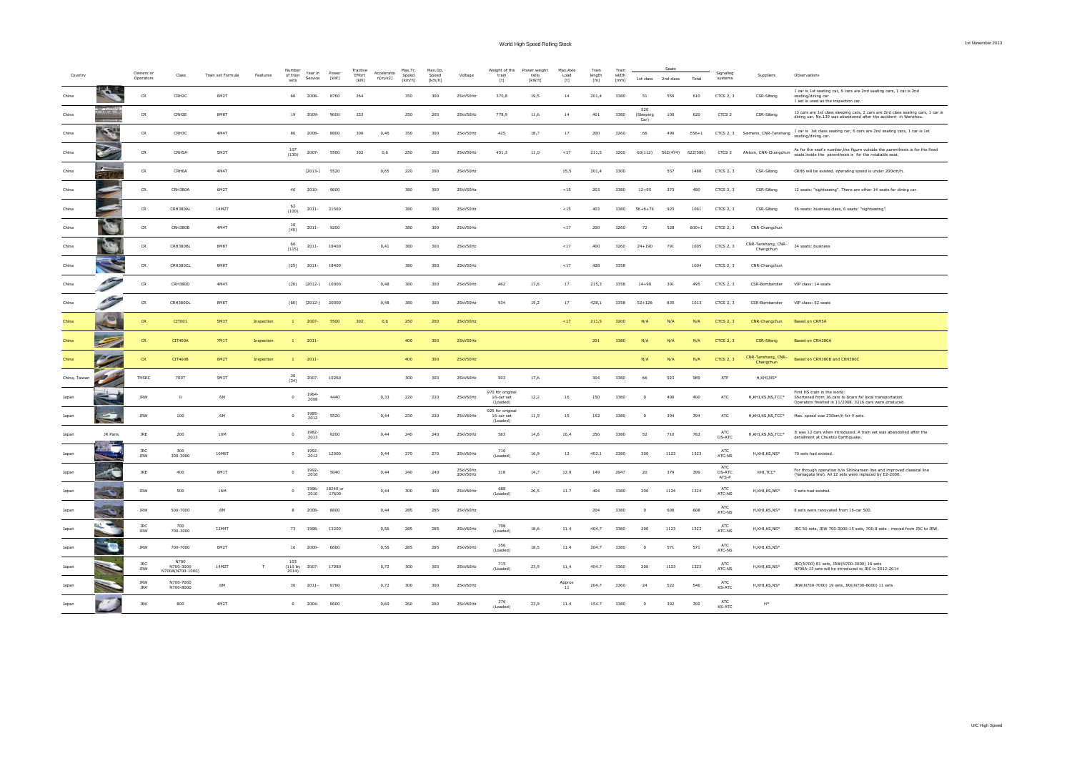| 1st November 2013 |  |  |  |  |  |  |
|-------------------|--|--|--|--|--|--|
|-------------------|--|--|--|--|--|--|

| Country       |                                  | Owners or<br>Operators   | Class                                 | Train set Formula | Features   | Number<br>of train<br>sets      | Year in<br>Service     | Power<br>[kW]     | Tractive<br>Effort<br>[kN] | Acceleratio<br>n[m/s2] | Max.Tr.<br>Speed<br>[km/h] | Max.Op<br>Speed<br>[km/h] | Voltage              | Weight of the<br>train<br>$[t] \centering% \includegraphics[width=0.3\textwidth]{Figures/PN1.png} \caption{The 3D (black) model for the $L^2$-error of the estimators in the left and right. The left and right is the same time. The right is the same time, the right is the same time.} \label{fig:TPN1}$ | Power weight<br>ratio<br>[kW/t] | Max.Axle<br>Load<br>$[t] \centering% \includegraphics[width=0.3\textwidth]{Figures/PN1.png} \caption{The 3D (black) model for the $L^2$-error of the estimators in the left and right. The left and right is the same as in the right.} \label{fig:TPN1}$ | Train<br>length<br>[m] | Train<br>width<br>[mm] | 1st class                | Seats<br>2nd class | Total     | Signaling<br>systems        | Suppliers                                           | Observations                                                                                                                                         |
|---------------|----------------------------------|--------------------------|---------------------------------------|-------------------|------------|---------------------------------|------------------------|-------------------|----------------------------|------------------------|----------------------------|---------------------------|----------------------|--------------------------------------------------------------------------------------------------------------------------------------------------------------------------------------------------------------------------------------------------------------------------------------------------------------|---------------------------------|-----------------------------------------------------------------------------------------------------------------------------------------------------------------------------------------------------------------------------------------------------------|------------------------|------------------------|--------------------------|--------------------|-----------|-----------------------------|-----------------------------------------------------|------------------------------------------------------------------------------------------------------------------------------------------------------|
| China         |                                  | CR                       | CRH2C                                 | 6M2T              |            | 60                              | 2008-                  | 8760              | 264                        |                        | 350                        | 300                       | 25kV50Hz             | 370,8                                                                                                                                                                                                                                                                                                        | 19,5                            | 14                                                                                                                                                                                                                                                        | 201,4                  | 3380                   | 51                       | 559                | 610       | CTCS 2.3                    | CSR-Sifang                                          | 1 car is 1st seating car, 6 cars are 2nd seating cars, 1 car is 2nd<br>seating/dining car<br>1 set is used as the inspection car.                    |
| China         |                                  | <b>CR</b>                | <b>CRH<sub>2</sub>F</b>               | <b>RMRT</b>       |            | 19                              | 2009-                  | 9600              | 352                        |                        | 250                        | 200                       | 25kV50Hz             | 778.9                                                                                                                                                                                                                                                                                                        | 11,6                            | 14                                                                                                                                                                                                                                                        | 401                    | 3380                   | 520<br>(Sleeping<br>Car) | 100                | 620       | CTCS <sub>2</sub>           | CSR-Sifano                                          | 13 cars are 1st class sleeping cars, 2 cars are 2nd class seating cars, 1 car is<br>dining car. No.139 was abandoned after the accident in Wenzhou.  |
| China         | <b>CONTROLL</b>                  | ${\sf CR}$               | CRH3C                                 | $4\,$ M4T         |            | 80                              | 2008-                  | 8800              | 300                        | 0,46                   | 350                        | 300                       | 25kV50Hz             | 425                                                                                                                                                                                                                                                                                                          | 18,7                            | $17\,$                                                                                                                                                                                                                                                    | 200                    | 3260                   | 66                       | 490                | $556 + 1$ |                             | CTCS 2, 3 Siemens, CNR-Tanshang                     | 1 car is 1st class seating car, 6 cars are 2nd seating cars, 1 car is 1st<br>seating/dining car.                                                     |
| China         |                                  | $\mathsf{CR}$            | CRH5A                                 | 5M3T              |            | 107<br>(130)                    | 2007-                  | 5500              | 302                        | 0,6                    | 250                        | 200                       | 25kV50Hz             | 451,3                                                                                                                                                                                                                                                                                                        | 11,0                            | $\!<\!17$                                                                                                                                                                                                                                                 | 211,5                  | 3200                   | 60(112)                  | 562(474)           | 622(586)  | CTCS <sub>2</sub>           | Alstom, CNR-Changchun                               | As for the seat's number, the figure outside the parenthesis is for the fixed<br>seats, inside the parenthesis is for the rotatable seat.            |
| China         | <b>Section</b>                   | <b>CR</b>                | CRH6A                                 | 4M4T              |            |                                 | $(2013-)$ 5520         |                   |                            | 0.65                   | 220                        | 200                       | 25kV50Hz             |                                                                                                                                                                                                                                                                                                              |                                 | 15.5                                                                                                                                                                                                                                                      | 201.4                  | 3300                   |                          | 557                | 1488      | CTCS 2.3                    | CSR-Sifang                                          | CRH6 will be existed. operating speed is under 200km/h.                                                                                              |
| China         |                                  | CR                       | CRH380A                               | 6M2T              |            | 40                              | 2010-                  | 9600              |                            |                        | 380                        | 300                       | 25kV50Hz             |                                                                                                                                                                                                                                                                                                              |                                 | < 15                                                                                                                                                                                                                                                      | 203                    | 3380                   | $12 + 95$                | 373                | 480       | CTCS 2.3                    | CSR-Sifang                                          | 12 seats: "sightseeing". There are other 14 seats for dining car.                                                                                    |
| China         |                                  | <b>CR</b>                | <b>CRH380AL</b>                       | 14M2T             |            | 62<br>(100)                     | $2011 -$               | 21560             |                            |                        | 380                        | 300                       | 25kV50Hz             |                                                                                                                                                                                                                                                                                                              |                                 | < 15                                                                                                                                                                                                                                                      | 403                    | 3380                   | $56+6+76$                | 923                | 1061      | CTCS 2.3                    | CSR-Sifang                                          | 56 seats: business class, 6 seats: "sightseeing".                                                                                                    |
| China         |                                  | $\mathsf{CR}$            | <b>CRH380B</b>                        | $4\,$ M4T         |            | 10<br>(40)                      | $2011 -$               | 9200              |                            |                        | 380                        | 300                       | 25kV50Hz             |                                                                                                                                                                                                                                                                                                              |                                 | ${<}17$                                                                                                                                                                                                                                                   | $200\,$                | 3260                   | $72\,$                   | 528                | $600 + 1$ | CTCS 2, 3                   | CNR-Changchun                                       |                                                                                                                                                      |
| China         |                                  | ${\sf CR}$               | CRH380BL                              | 8M8T              |            | 66<br>(115)                     | $2011 -$               | 18400             |                            | 0,41                   | 380                        | 300                       | 25kV50Hz             |                                                                                                                                                                                                                                                                                                              |                                 | $<17$                                                                                                                                                                                                                                                     | 400                    | 3260                   | $24 + 190$               | 791                | 1005      | CTCS 2, 3                   | CNR-Tanshang, CNR-<br>Changchun                     | 24 seats: business                                                                                                                                   |
| China         |                                  | ${\sf CR}$               | CRH380CL                              | 8M8T              |            |                                 | $(25)$ 2011-           | 18400             |                            |                        | 380                        | 300                       | 25kV50Hz             |                                                                                                                                                                                                                                                                                                              |                                 | $<\!17$                                                                                                                                                                                                                                                   | 428                    | 3358                   |                          |                    | 1004      | CTCS 2, 3                   | CNR-Changchun                                       |                                                                                                                                                      |
| China         |                                  | <b>CR</b>                | CRH380D                               | 4M4T              |            |                                 | $(20)$ $(2012-)$       | 10000             |                            | 0.48                   | 380                        | 300                       | 25kV50Hz             | 462                                                                                                                                                                                                                                                                                                          | 17,6                            | 17                                                                                                                                                                                                                                                        | 215.3                  | 3358                   | $14 + 90$                | 391                | 495       | CTCS 2.3                    | CSR-Bombardier                                      | VIP class: 14 seats                                                                                                                                  |
| China         | <b>Construction Construction</b> | ${\sf CR}$               | CRH380DL                              | 8M8T              |            |                                 | $(60)$ $(2012-)$ 20000 |                   |                            | 0.48                   | 380                        | 300                       | 25kV50Hz             | 934                                                                                                                                                                                                                                                                                                          | 19,2                            | 17                                                                                                                                                                                                                                                        | 428,1                  | 3358                   | $52 + 126$               | 835                | 1013      | CTCS 2, 3                   | CSR-Bombardier                                      | VIP class: 52 seats                                                                                                                                  |
| China         |                                  | CR                       | CIT001                                | <b>5M3T</b>       | Inspection |                                 | 2007                   | 5500              | 302                        | 0,6                    | 250                        | 200                       | 25kV50Hz             |                                                                                                                                                                                                                                                                                                              |                                 | < 17                                                                                                                                                                                                                                                      | 211,5                  | 3200                   | N/I                      | N/A                | N/A       | <b>CTCS 2, 3</b>            | CNR-Changchun                                       | <b>Based on CRH5A</b>                                                                                                                                |
| China         |                                  | <b>CR</b>                | <b>CIT400A</b>                        | 7M1T              | Inspection |                                 | 2011                   |                   |                            |                        | 400                        | 300                       | 25kV50Hz             |                                                                                                                                                                                                                                                                                                              |                                 |                                                                                                                                                                                                                                                           | 201                    | 3380                   | N/I                      | N/A                | N/A       | <b>CTCS 2, 3</b>            | CSR-Sifang                                          | Based on CRH380A                                                                                                                                     |
| China         |                                  | ${\sf CR}$               | CIT400B                               | 6M2T              | Inspection | $\mathbf{1}$                    | 2011                   |                   |                            |                        | 400                        | 300                       | 25kV50Hz             |                                                                                                                                                                                                                                                                                                              |                                 |                                                                                                                                                                                                                                                           |                        |                        | N/A                      | N/A                | N/A       | <b>CTCS 2, 3</b>            | CNR-Tanshang, CNR-<br>Changchun                     | Based on CRH380B and CRH380C                                                                                                                         |
| China, Taiwar |                                  | THSRC                    | 700T                                  | 9M3T              |            | 30<br>(34)                      | 2007-                  | 10260             |                            |                        | 300                        | 300                       | 25kV60Hz             | 503                                                                                                                                                                                                                                                                                                          | 17.6                            |                                                                                                                                                                                                                                                           | 304                    | 3380                   | 66                       | 923                | 989       | ATP                         | H.KHI.NS*                                           |                                                                                                                                                      |
| Japar         |                                  | <b>JRW</b>               | $\overline{0}$                        | 6M                |            | $\circ$                         | 1964<br>2008           | 4440              |                            | 0,33                   | 220                        | 220                       | 25kV60Hz             | 970 for original<br>16-car set<br>(Loaded)                                                                                                                                                                                                                                                                   | 12,2                            | 16                                                                                                                                                                                                                                                        | 150                    | 3380                   | $\Omega$                 | 400                | 400       | ATC                         | $H$ , KHI, KS, NS, TCC*                             | First HS train in the world.<br>Shortened from 16 cars to 6cars for local transportation.<br>Operation finished in 11/2008. 3216 cars were produced. |
|               | <b>Company</b>                   | <b>JRW</b>               | 100                                   | 6M                |            | $\circ$                         | 1985<br>2012           | 5520              |                            | 0,44                   | 230                        | 220                       | 25kV60Hz             | 925 for original<br>16-car set<br>(Loaded)                                                                                                                                                                                                                                                                   | 11,9                            | 15                                                                                                                                                                                                                                                        | 152                    | 3380                   |                          | 394                | 394       | ATC                         | H,KHI,KS,NS,TCC*                                    | Max. speed was 230km/h for V sets.                                                                                                                   |
| Japan         | JR Paris                         | JRE                      | 200                                   | 10M               |            | $\circ$                         | 1982<br>2013           | 9200              |                            | 0,44                   | 240                        | 240                       | 25kV50Hz             | 583                                                                                                                                                                                                                                                                                                          | 14,6                            | 16,4                                                                                                                                                                                                                                                      | 250                    | 3380                   | 52                       | 710                | 762       | ATC<br>DS-ATC               | H,KHI,KS,NS,TCC*                                    | It was 12 cars when introduced. A train set was abandoned after the<br>derailment at Chuetsu Earthquake.                                             |
| Japar         | ÷                                | <b>JRC</b><br><b>JRW</b> | 300<br>300-3000                       | 10M6T             |            | $\circ$                         | 1992<br>2012           | 12000             |                            | 0,44                   | 270                        | 270                       | 25kV60Hz             | 710<br>(Loaded)                                                                                                                                                                                                                                                                                              | 16,9                            | 12                                                                                                                                                                                                                                                        | 402.1                  | 3380                   | 200                      | 1123               | 1323      | ATC<br>ATC-NS               | $\textsf{H},\textsf{KHI},\textsf{KS},\textsf{NS}^*$ | 70 sets had existed.                                                                                                                                 |
| Japan         |                                  | <b>IRF</b>               | 400                                   | 6M1T              |            | $\circ$                         | 1992-<br>2010          | 5040              |                            | 0.44                   | 240                        | 240                       | 25kV50Hz<br>20kV50Hz | 318                                                                                                                                                                                                                                                                                                          | 14,7                            | 12.9                                                                                                                                                                                                                                                      | 149                    | 2947                   | 20                       | 379                | 399       | ATC<br>DS-ATC<br>ATS-P      | KHI.TCC*                                            | For through operation b/w Shinkansen line and improved classical line<br>(Yamagata line). All 12 sets were replaced by E2-2000.                      |
| Japar         | $\mathbf{x}_i$                   | <b>JRW</b>               | 500                                   | 16M               |            | $\circ$                         | 1996-<br>2010          | 18240 or<br>17600 |                            | 0,44                   | 300                        | 300                       | 25kV60Hz             | 688<br>(Loaded)                                                                                                                                                                                                                                                                                              | 26,5                            | 11.7                                                                                                                                                                                                                                                      | 404                    | 3380                   | 200                      | 1124               | 1324      | <b>ATC</b><br>ATC-NS        | H, KHI, KS, NS*                                     | 9 sets had existed                                                                                                                                   |
|               | $\mathbf{x}_i$                   | <b>JRW</b>               | 500-7000                              | 8M                |            | 8                               | 2008-                  | 8800              |                            | 0,44                   | 285                        | 285                       | 25kV60Hz             |                                                                                                                                                                                                                                                                                                              |                                 |                                                                                                                                                                                                                                                           | 204                    | 3380                   | $\Omega$                 | 608                | 608       | <b>ATC</b><br>ATC-NS        | H,KHI,KS,NS*                                        | 8 sets were renovated from 16-car 500.                                                                                                               |
| Japan         |                                  | <b>JRC</b><br><b>JRW</b> | 700<br>700-3000                       | 12M4T             |            | 73                              | 1998-                  | 13200             |                            | 0,56                   | 285                        | 285                       | 25kV60Hz             | 708<br>(Loaded)                                                                                                                                                                                                                                                                                              | 18,6                            | 11.4                                                                                                                                                                                                                                                      | 404.7                  | 3380                   | 200                      | 1123               | 1323      | ATC<br>ATC-NS               | H,KHI,KS,NS*                                        | JRC 50 sets, JRW 700-3000:15 sets, 700:8 sets - moved from JRC to JRW.                                                                               |
| Japan         | <b>See</b>                       | <b>JRW</b>               | 700-7000                              | 6M2T              |            | 16                              | 2000-                  | 6600              |                            | 0,56                   | 285                        | 285                       | 25kV60H2             | 356<br>(Loaded)                                                                                                                                                                                                                                                                                              | 18,5                            | 11.4                                                                                                                                                                                                                                                      | 204.7                  | 3380                   | $\overline{0}$           | 571                | 571       | ATC<br>ATC-NS               | H, KHI, KS, NS*                                     |                                                                                                                                                      |
| Japar         |                                  | <b>JRC</b><br><b>JRW</b> | N700<br>N700-3000<br>N700A(N700-1000) | 14M2T             |            | 103<br>$(110 \text{ by } 2014)$ | 2007-                  | 17080             |                            | 0,72                   | 300                        | 300                       | 25kV60H2             | 715<br>(Loaded)                                                                                                                                                                                                                                                                                              | 23,9                            | 11,4                                                                                                                                                                                                                                                      | 404.7                  | 3360                   | 200                      | 1123               | 1323      | ATC<br>ATC-NS               | H,KHI,KS,NS*                                        | JRC(N700) 81 sets. JRW(N700-3000) 16 sets<br>N700A:13 sets will be introduced to JRC in 2012-2014                                                    |
|               |                                  | <b>JRW</b><br><b>JRK</b> | N700-7000<br>N700-8000                | <b>8M</b>         |            | 30                              | $2011 -$               | 9760              |                            | 0,72                   | 300                        | 300                       | 25kV60Hz             |                                                                                                                                                                                                                                                                                                              |                                 | Approx<br>$\frac{1}{11}$                                                                                                                                                                                                                                  | 204.7                  | 3360                   | 24                       | 522                | 546       | <b>ATC</b><br><b>KS-ATC</b> | $\textsf{H},\textsf{KHI},\textsf{KS},\textsf{NS}^*$ | JRW(N700-7000) 19 sets, JRK(N700-8000) 11 sets                                                                                                       |
|               |                                  | <b>JRK</b>               | 800                                   | 4M2T              |            | 6                               | $2004 -$               | 6600              |                            | 0,69                   | 260                        | 260                       | 25kV60Hz             | 276<br>(Loaded)                                                                                                                                                                                                                                                                                              | 23,9                            | 11.4                                                                                                                                                                                                                                                      | 154.7                  | 3380                   |                          | 392                | 392       | ATC<br>KS-ATC               | $\mathsf{H}^\ast$                                   |                                                                                                                                                      |
|               |                                  |                          |                                       |                   |            |                                 |                        |                   |                            |                        |                            |                           |                      |                                                                                                                                                                                                                                                                                                              |                                 |                                                                                                                                                                                                                                                           |                        |                        |                          |                    |           |                             |                                                     |                                                                                                                                                      |